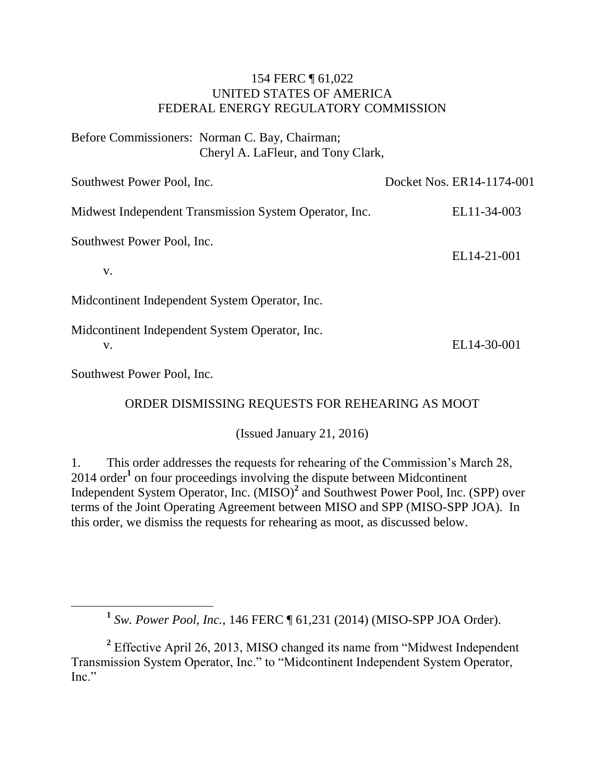### 154 FERC ¶ 61,022 UNITED STATES OF AMERICA FEDERAL ENERGY REGULATORY COMMISSION

Before Commissioners: Norman C. Bay, Chairman; Cheryl A. LaFleur, and Tony Clark,

| Southwest Power Pool, Inc.                             | Docket Nos. ER14-1174-001 |
|--------------------------------------------------------|---------------------------|
| Midwest Independent Transmission System Operator, Inc. | EL11-34-003               |
| Southwest Power Pool, Inc.<br>V.                       | EL14-21-001               |
| Midcontinent Independent System Operator, Inc.         |                           |
| Midcontinent Independent System Operator, Inc.<br>v.   | EL14-30-001               |

Southwest Power Pool, Inc.

 $\overline{a}$ 

ORDER DISMISSING REQUESTS FOR REHEARING AS MOOT

(Issued January 21, 2016)

1. This order addresses the requests for rehearing of the Commission's March 28, 2014 order**<sup>1</sup>** on four proceedings involving the dispute between Midcontinent Independent System Operator, Inc. (MISO)**<sup>2</sup>** and Southwest Power Pool, Inc. (SPP) over terms of the Joint Operating Agreement between MISO and SPP (MISO-SPP JOA). In this order, we dismiss the requests for rehearing as moot, as discussed below.

**1** *Sw. Power Pool, Inc.*, 146 FERC ¶ 61,231 (2014) (MISO-SPP JOA Order).

<sup>2</sup> Effective April 26, 2013, MISO changed its name from "Midwest Independent" Transmission System Operator, Inc." to "Midcontinent Independent System Operator, Inc."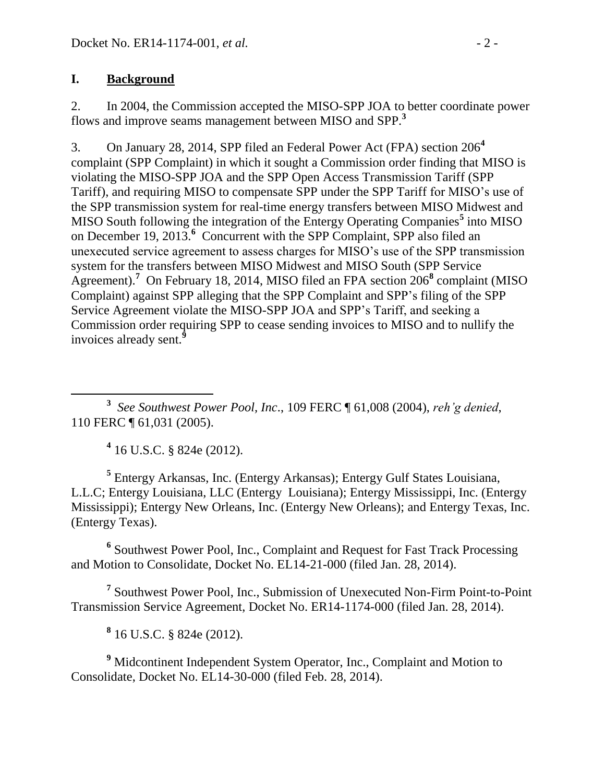# **I. Background**

2. In 2004, the Commission accepted the MISO-SPP JOA to better coordinate power flows and improve seams management between MISO and SPP. **3**

3. On January 28, 2014, SPP filed an Federal Power Act (FPA) section 206**<sup>4</sup>** complaint (SPP Complaint) in which it sought a Commission order finding that MISO is violating the MISO-SPP JOA and the SPP Open Access Transmission Tariff (SPP Tariff), and requiring MISO to compensate SPP under the SPP Tariff for MISO's use of the SPP transmission system for real-time energy transfers between MISO Midwest and MISO South following the integration of the Entergy Operating Companies**<sup>5</sup>** into MISO on December 19, 2013.<sup>6</sup> Concurrent with the SPP Complaint, SPP also filed an unexecuted service agreement to assess charges for MISO's use of the SPP transmission system for the transfers between MISO Midwest and MISO South (SPP Service Agreement).**<sup>7</sup>** On February 18, 2014, MISO filed an FPA section 206**<sup>8</sup>** complaint (MISO Complaint) against SPP alleging that the SPP Complaint and SPP's filing of the SPP Service Agreement violate the MISO-SPP JOA and SPP's Tariff, and seeking a Commission order requiring SPP to cease sending invoices to MISO and to nullify the invoices already sent.**<sup>9</sup>**

 $\overline{a}$ **3** *See Southwest Power Pool, Inc*., 109 FERC ¶ 61,008 (2004), *reh'g denied*, 110 FERC ¶ 61,031 (2005).

**4** 16 U.S.C. § 824e (2012).

**5** Entergy Arkansas, Inc. (Entergy Arkansas); Entergy Gulf States Louisiana, L.L.C; Entergy Louisiana, LLC (Entergy Louisiana); Entergy Mississippi, Inc. (Entergy Mississippi); Entergy New Orleans, Inc. (Entergy New Orleans); and Entergy Texas, Inc. (Entergy Texas).

<sup>6</sup> Southwest Power Pool, Inc., Complaint and Request for Fast Track Processing and Motion to Consolidate, Docket No. EL14-21-000 (filed Jan. 28, 2014).

**7** Southwest Power Pool, Inc., Submission of Unexecuted Non-Firm Point-to-Point Transmission Service Agreement, Docket No. ER14-1174-000 (filed Jan. 28, 2014).

**8** 16 U.S.C. § 824e (2012).

**<sup>9</sup>** Midcontinent Independent System Operator, Inc., Complaint and Motion to Consolidate, Docket No. EL14-30-000 (filed Feb. 28, 2014).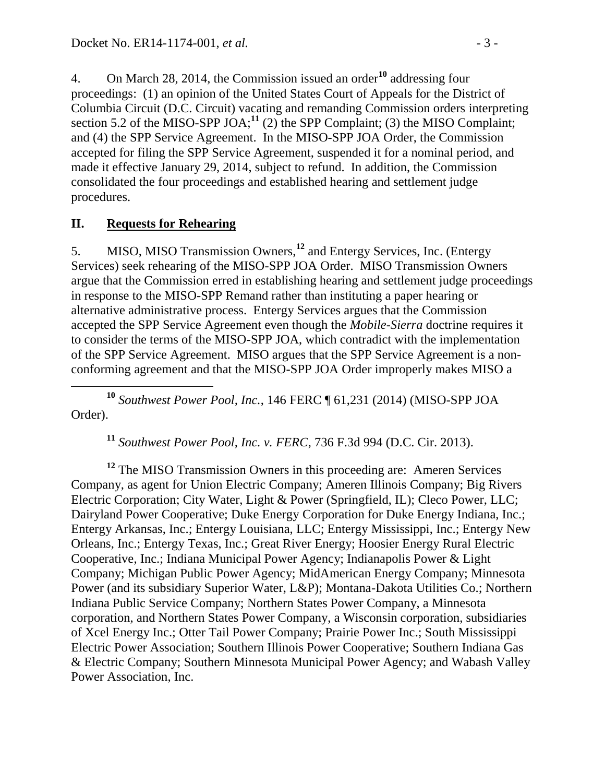4. On March 28, 2014, the Commission issued an order**<sup>10</sup>** addressing four proceedings: (1) an opinion of the United States Court of Appeals for the District of Columbia Circuit (D.C. Circuit) vacating and remanding Commission orders interpreting section 5.2 of the MISO-SPP JOA;<sup>11</sup> (2) the SPP Complaint; (3) the MISO Complaint; and (4) the SPP Service Agreement. In the MISO-SPP JOA Order, the Commission accepted for filing the SPP Service Agreement, suspended it for a nominal period, and made it effective January 29, 2014, subject to refund. In addition, the Commission consolidated the four proceedings and established hearing and settlement judge procedures.

# **II. Requests for Rehearing**

5. MISO, MISO Transmission Owners, **<sup>12</sup>** and Entergy Services, Inc. (Entergy Services) seek rehearing of the MISO-SPP JOA Order. MISO Transmission Owners argue that the Commission erred in establishing hearing and settlement judge proceedings in response to the MISO-SPP Remand rather than instituting a paper hearing or alternative administrative process. Entergy Services argues that the Commission accepted the SPP Service Agreement even though the *Mobile-Sierra* doctrine requires it to consider the terms of the MISO-SPP JOA, which contradict with the implementation of the SPP Service Agreement. MISO argues that the SPP Service Agreement is a nonconforming agreement and that the MISO-SPP JOA Order improperly makes MISO a

 **<sup>10</sup>** *Southwest Power Pool, Inc.*, 146 FERC ¶ 61,231 (2014) (MISO-SPP JOA Order).

**<sup>11</sup>** *Southwest Power Pool, Inc. v. FERC*, 736 F.3d 994 (D.C. Cir. 2013).

<sup>12</sup> The MISO Transmission Owners in this proceeding are: Ameren Services Company, as agent for Union Electric Company; Ameren Illinois Company; Big Rivers Electric Corporation; City Water, Light & Power (Springfield, IL); Cleco Power, LLC; Dairyland Power Cooperative; Duke Energy Corporation for Duke Energy Indiana, Inc.; Entergy Arkansas, Inc.; Entergy Louisiana, LLC; Entergy Mississippi, Inc.; Entergy New Orleans, Inc.; Entergy Texas, Inc.; Great River Energy; Hoosier Energy Rural Electric Cooperative, Inc.; Indiana Municipal Power Agency; Indianapolis Power & Light Company; Michigan Public Power Agency; MidAmerican Energy Company; Minnesota Power (and its subsidiary Superior Water, L&P); Montana-Dakota Utilities Co.; Northern Indiana Public Service Company; Northern States Power Company, a Minnesota corporation, and Northern States Power Company, a Wisconsin corporation, subsidiaries of Xcel Energy Inc.; Otter Tail Power Company; Prairie Power Inc.; South Mississippi Electric Power Association; Southern Illinois Power Cooperative; Southern Indiana Gas & Electric Company; Southern Minnesota Municipal Power Agency; and Wabash Valley Power Association, Inc.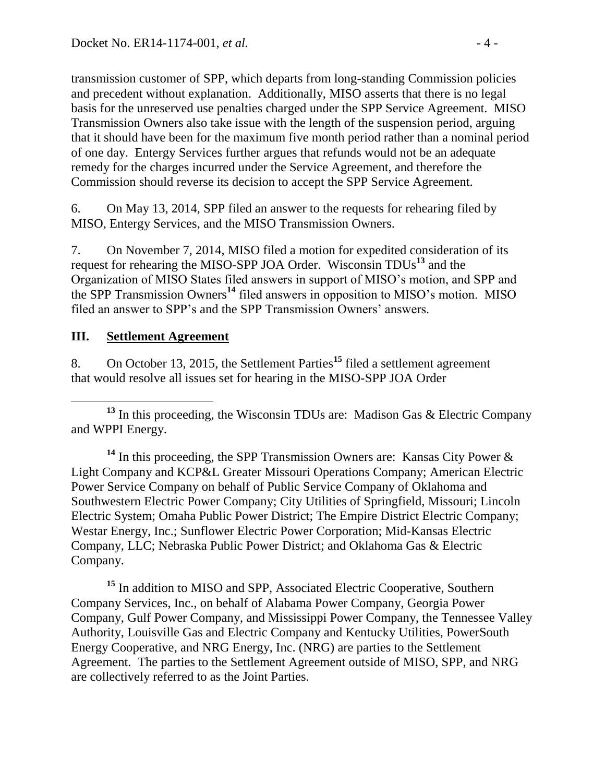transmission customer of SPP, which departs from long-standing Commission policies and precedent without explanation. Additionally, MISO asserts that there is no legal basis for the unreserved use penalties charged under the SPP Service Agreement. MISO Transmission Owners also take issue with the length of the suspension period, arguing that it should have been for the maximum five month period rather than a nominal period of one day. Entergy Services further argues that refunds would not be an adequate remedy for the charges incurred under the Service Agreement, and therefore the Commission should reverse its decision to accept the SPP Service Agreement.

6. On May 13, 2014, SPP filed an answer to the requests for rehearing filed by MISO, Entergy Services, and the MISO Transmission Owners.

7. On November 7, 2014, MISO filed a motion for expedited consideration of its request for rehearing the MISO-SPP JOA Order. Wisconsin TDUs**<sup>13</sup>** and the Organization of MISO States filed answers in support of MISO's motion, and SPP and the SPP Transmission Owners**<sup>14</sup>** filed answers in opposition to MISO's motion. MISO filed an answer to SPP's and the SPP Transmission Owners' answers.

## **III. Settlement Agreement**

8. On October 13, 2015, the Settlement Parties**<sup>15</sup>** filed a settlement agreement that would resolve all issues set for hearing in the MISO-SPP JOA Order

 $\overline{a}$ **<sup>13</sup>** In this proceeding, the Wisconsin TDUs are: Madison Gas & Electric Company and WPPI Energy.

**<sup>14</sup>** In this proceeding, the SPP Transmission Owners are: Kansas City Power & Light Company and KCP&L Greater Missouri Operations Company; American Electric Power Service Company on behalf of Public Service Company of Oklahoma and Southwestern Electric Power Company; City Utilities of Springfield, Missouri; Lincoln Electric System; Omaha Public Power District; The Empire District Electric Company; Westar Energy, Inc.; Sunflower Electric Power Corporation; Mid-Kansas Electric Company, LLC; Nebraska Public Power District; and Oklahoma Gas & Electric Company.

**<sup>15</sup>** In addition to MISO and SPP, Associated Electric Cooperative, Southern Company Services, Inc., on behalf of Alabama Power Company, Georgia Power Company, Gulf Power Company, and Mississippi Power Company, the Tennessee Valley Authority, Louisville Gas and Electric Company and Kentucky Utilities, PowerSouth Energy Cooperative, and NRG Energy, Inc. (NRG) are parties to the Settlement Agreement. The parties to the Settlement Agreement outside of MISO, SPP, and NRG are collectively referred to as the Joint Parties.